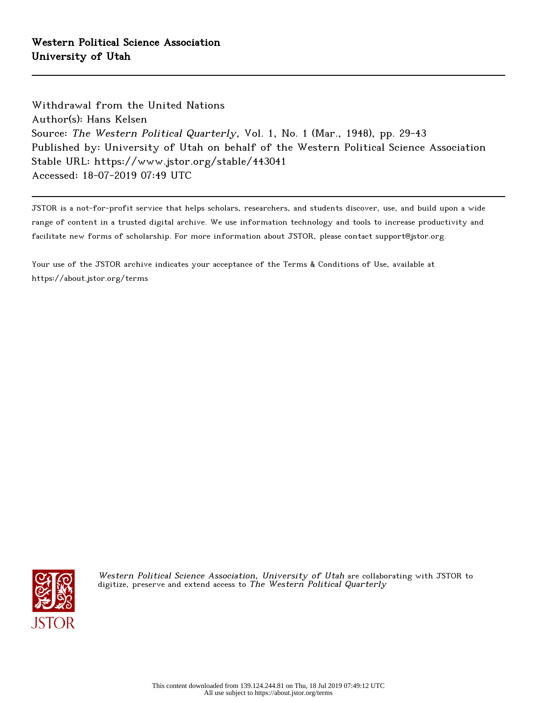Withdrawal from the United Nations Author(s): Hans Kelsen Source: The Western Political Quarterly, Vol. 1, No. 1 (Mar., 1948), pp. 29-43 Published by: University of Utah on behalf of the Western Political Science Association Stable URL: https://www.jstor.org/stable/443041 Accessed: 18-07-2019 07:49 UTC

JSTOR is a not-for-profit service that helps scholars, researchers, and students discover, use, and build upon a wide range of content in a trusted digital archive. We use information technology and tools to increase productivity and facilitate new forms of scholarship. For more information about JSTOR, please contact support@jstor.org.

Your use of the JSTOR archive indicates your acceptance of the Terms & Conditions of Use, available at https://about.jstor.org/terms



Western Political Science Association, University of Utah are collaborating with JSTOR to digitize, preserve and extend access to The Western Political Quarterly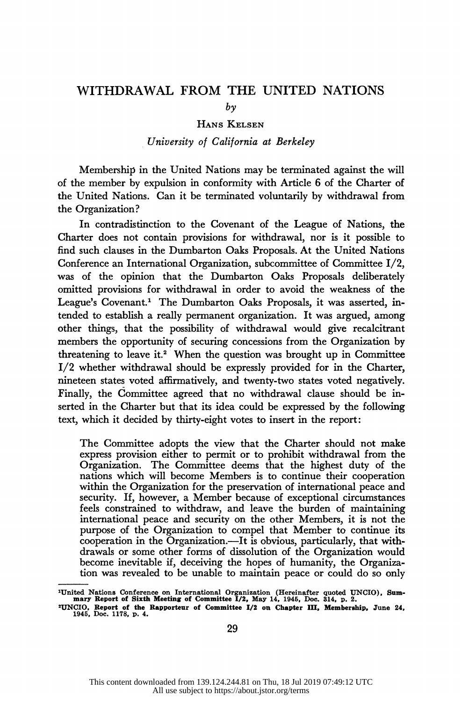## WITHDRAWAL FROM THE UNITED NATIONS  $b\nu$

## HANS KELSEN

## University of California at Berkeley

 Membership in the United Nations may be terminated against the will of the member by expulsion in conformity with Article 6 of the Charter of the United Nations. Can it be terminated voluntarily by withdrawal from the Organization?

 In contradistinction to the Covenant of the League of Nations, the Charter does not contain provisions for withdrawal, nor is it possible to find such clauses in the Dumbarton Oaks Proposals. At the United Nations Conference an International Organization, subcommittee of Committee  $I/2$ , was of the opinion that the Dumbarton Oaks Proposals deliberately omitted provisions for withdrawal in order to avoid the weakness of the League's Covenant.<sup>1</sup> The Dumbarton Oaks Proposals, it was asserted, in tended to establish a really permanent organization. It was argued, among other things, that the possibility of withdrawal would give recalcitrant members the opportunity of securing concessions from the Organization by threatening to leave it.<sup>2</sup> When the question was brought up in Committee 1/2 whether withdrawal should be expressly provided for in the Charter, nineteen states voted affirmatively, and twenty-two states voted negatively. Finally, the Committee agreed that no withdrawal clause should be in serted in the Charter but that its idea could be expressed by the following text, which it decided by thirty-eight votes to insert in the report:

 The Committee adopts the view that the Charter should not make express provision either to permit or to prohibit withdrawal from the Organization. The Committee deems that the highest duty of the nations which will become Members is to continue their cooperation within the Organization for the preservation of international peace and security. If, however, a Member because of exceptional circumstances feels constrained to withdraw, and leave the burden of maintaining international peace and security on the other Members, it is not the purpose of the Organization to compel that Member to continue its cooperation in the Organization.-It is obvious, particularly, that with drawals or some other forms of dissolution of the Organization would become inevitable if, deceiving the hopes of humanity, the Organiza tion was revealed to be unable to maintain peace or could do so only

<sup>&</sup>lt;sup>2</sup>United Nations Conference on International Organization (Hereinafter quoted UNCIO), Summary Report of Sixth Meeting of Committee I/2, May 14, 1945, Doc. 314, p. 2.<br><sup>2</sup>UNCIO, Report of the Rapporteur of Committee I/2 on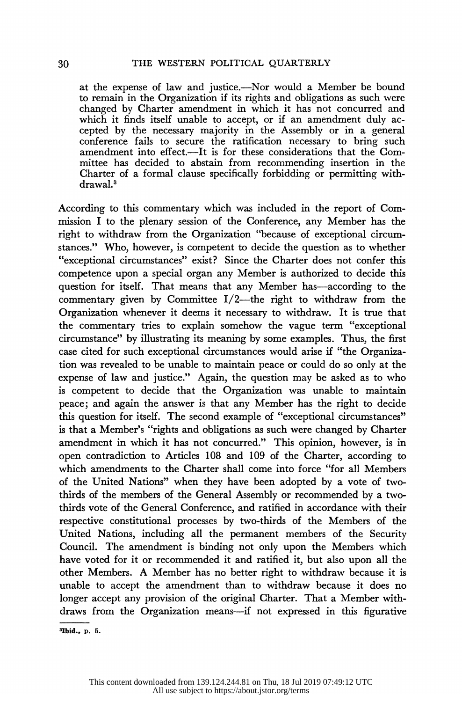at the expense of law and justice.-Nor would a Member be bound to remain in the Organization if its rights and obligations as such were changed by Charter amendment in which it has not concurred and which it finds itself unable to accept, or if an amendment duly ac cepted by the necessary majority in the Assembly or in a general conference fails to secure the ratification necessary to bring such amendment into effect.—It is for these considerations that the Com mittee has decided to abstain from recommending insertion in the Charter of a formal clause specifically forbidding or permitting with drawal.3

 According to this commentary which was included in the report of Com mission I to the plenary session of the Conference, any Member has the right to withdraw from the Organization "because of exceptional circum stances." Who, however, is competent to decide the question as to whether "exceptional circumstances" exist? Since the Charter does not confer this competence upon a special organ any Member is authorized to decide this question for itself. That means that any Member has-according to the commentary given by Committee  $I/2$ —the right to withdraw from the Organization whenever it deems it necessary to withdraw. It is true that the commentary tries to explain somehow the vague term "exceptional circumstance" by illustrating its meaning by some examples. Thus, the first case cited for such exceptional circumstances would arise if "the Organiza tion was revealed to be unable to maintain peace or could do so only at the expense of law and justice." Again, the question may be asked as to who is competent to decide that the Organization was unable to maintain peace; and again the answer is that any Member has the right to decide this question for itself. The second example of "exceptional circumstances" is that a Member's "rights and obligations as such were changed by Charter amendment in which it has not concurred." This opinion, however, is in open contradiction to Articles 108 and 109 of the Charter, according to which amendments to the Charter shall come into force "for all Members of the United Nations" when they have been adopted by a vote of two thirds of the members of the General Assembly or recommended by a two thirds vote of the General Conference, and ratified in accordance with their respective constitutional processes by two-thirds of the Members of the United Nations, including all the permanent members of the Security Council. The amendment is binding not only upon the Members which have voted for it or recommended it and ratified it, but also upon all the other Members. A Member has no better right to withdraw because it is unable to accept the amendment than to withdraw because it does no longer accept any provision of the original Charter. That a Member with draws from the Organization means-if not expressed in this figurative

 <sup>3</sup>Ibid., p. 5.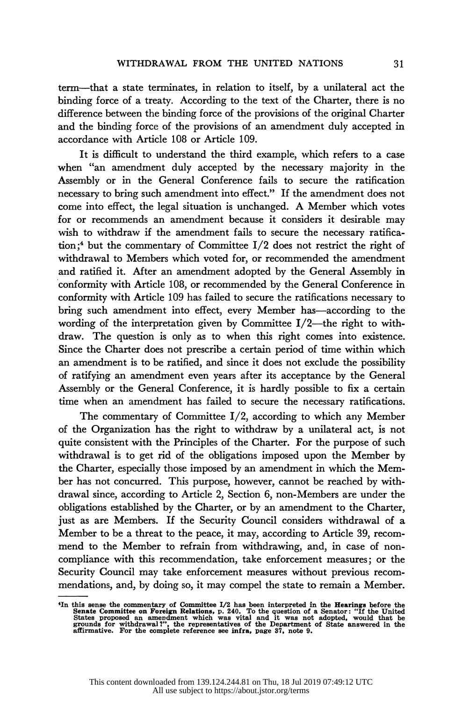term-that a state terminates, in relation to itself, by a unilateral act the binding force of a treaty. According to the text of the Charter, there is no difference between the binding force of the provisions of the original Charter and the binding force of the provisions of an amendment duly accepted in accordance with Article 108 or Article 109.

 It is difficult to understand the third example, which refers to a case when "an amendment duly accepted by the necessary majority in the Assembly or in the General Conference fails to secure the ratification necessary to bring such amendment into effect." If the amendment does not come into effect, the legal situation is unchanged. A Member which votes for or recommends an amendment because it considers it desirable may wish to withdraw if the amendment fails to secure the necessary ratifica tion;<sup>4</sup> but the commentary of Committee  $I/2$  does not restrict the right of withdrawal to Members which voted for, or recommended the amendment and ratified it. After an amendment adopted by the General Assembly in conformity with Article 108, or recommended by the General Conference in conformity with Article 109 has failed to secure the ratifications necessary to bring such amendment into effect, every Member has-according to the wording of the interpretation given by Committee  $I/2$ —the right to with draw. The question is only as to when this right comes into existence. Since the Charter does not prescribe a certain period of time within which an amendment is to be ratified, and since it does not exclude the possibility of ratifying an amendment even years after its acceptance by the General Assembly or the General Conference, it is hardly possible to fix a certain time when an amendment has failed to secure the necessary ratifications.

The commentary of Committee  $I/2$ , according to which any Member of the Organization has the right to withdraw by a unilateral act, is not quite consistent with the Principles of the Charter. For the purpose of such withdrawal is to get rid of the obligations imposed upon the Member by the Charter, especially those imposed by an amendment in which the Mem ber has not concurred. This purpose, however, cannot be reached by with drawal since, according to Article 2, Section 6, non-Members are under the obligations established by the Charter, or by an amendment to the Charter, just as are Members. If the Security Council considers withdrawal of a Member to be a threat to the peace, it may, according to Article 39, recom mend to the Member to refrain from withdrawing, and, in case of non compliance with this recommendation, take enforcement measures; or the Security Council may take enforcement measures without previous recom mendations, and, by doing so, it may compel the state to remain a Member.

<sup>&</sup>lt;sup>4</sup>In this sense the commentary of Committee I/2 has been interpreted in the Hearings before the Senate Committee on Foreign Relations, p. 240. To the question of a Senator: "If the United States proposed an amendment whi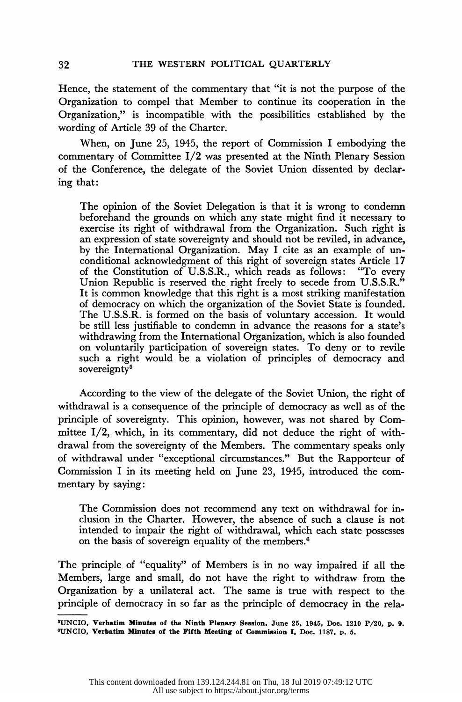Hence, the statement of the commentary that "it is not the purpose of the Organization to compel that Member to continue its cooperation in the Organization," is incompatible with the possibilities established by the wording of Article 39 of the Charter.

 When, on June 25, 1945, the report of Commission I embodying the commentary of Committee 1/2 was presented at the Ninth Plenary Session of the Conference, the delegate of the Soviet Union dissented by declar ing that:

 The opinion of the Soviet Delegation is that it is wrong to condemn beforehand the grounds on which any state might find it necessary to exercise its right of withdrawal from the Organization. Such right is an expression of state sovereignty and should not be reviled, in advance, by the International Organization. May I cite as an example of un conditional acknowledgment of this right of sovereign states Article 17 of the Constitution of U.S.S.R., which reads as follows:  $\frac{10}{100}$ Union Republic is reserved the right freely to secede from U.S.S.R." It is common knowledge that this right is a most striking manifestation of democracy on which the organization of the Soviet State is founded. The U.S.S.R. is formed on the basis of voluntary accession. It would be still less justifiable to condemn in advance the reasons for a state's withdrawing from the International Organization, which is also founded on voluntarily participation of sovereign states. To deny or to revile such a right would be a violation of principles of democracy and sovereignty<sup>5</sup>

 According to the view of the delegate of the Soviet Union, the right of withdrawal is a consequence of the principle of democracy as well as of the principle of sovereignty. This opinion, however, was not shared by Com mittee 1/2, which, in its commentary, did not deduce the right of with drawal from the sovereignty of the Members. The commentary speaks only of withdrawal under "exceptional circumstances." But the Rapporteur of Commission I in its meeting held on June 23, 1945, introduced the com mentary by saying:

 The Commission does not recommend any text on withdrawal for in clusion in the Charter. However, the absence of such a clause is not intended to impair the right of withdrawal, which each state possesses on the basis of sovereign equality of the members.6

 The principle of "equality" of Members is in no way impaired if all the Members, large and small, do not have the right to withdraw from the Organization by a unilateral act. The same is true with respect to the principle of democracy in so far as the principle of democracy in the rela-

32

JUNCIO, Verbatim Minutes of the Ninth Plenary Session, June 25, 1945, Doe. 1210 P/20, p. 9. 6UNCIO, Verbatim Minutes of the Fifth Meeting of Commission I, Doe. 1187, p. 5.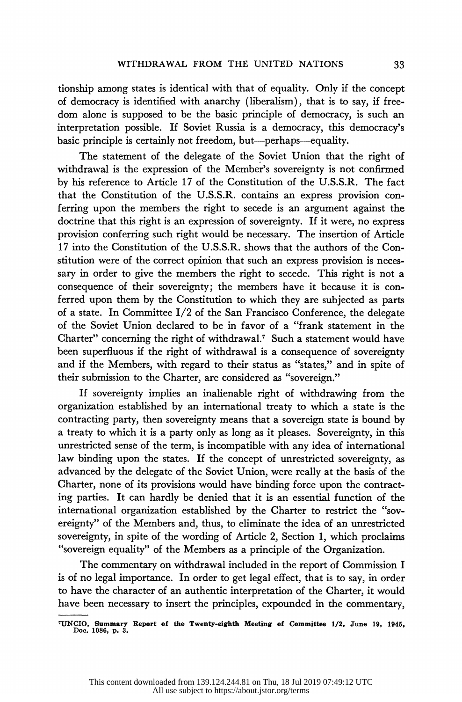tionship among states is identical with that of equality. Only if the concept of democracy is identified with anarchy (liberalism), that is to say, if free dom alone is supposed to be the basic principle of democracy, is such an interpretation possible. If Soviet Russia is a democracy, this democracy's basic principle is certainly not freedom, but—perhaps—equality.

 The statement of the delegate of the Soviet Union that the right of withdrawal is the expression of the Member's sovereignty is not confirmed by his reference to Article 17 of the Constitution of the U.S.S.R. The fact that the Constitution of the U.S.S.R. contains an express provision con ferring upon the members the right to secede is an argument against the doctrine that this right is an expression of sovereignty. If it were, no express provision conferring such right would be necessary. The insertion of Article 17 into the Constitution of the U.S.S.R. shows that the authors of the Con stitution were of the correct opinion that such an express provision is neces sary in order to give the members the right to secede. This right is not a consequence of their sovereignty; the members have it because it is con ferred upon them by the Constitution to which they are subjected as parts of a state. In Committee I/2 of the San Francisco Conference, the delegate of the Soviet Union declared to be in favor of a "frank statement in the Charter" concerning the right of withdrawal.<sup>7</sup> Such a statement would have been superfluous if the right of withdrawal is a consequence of sovereignty and if the Members, with regard to their status as "states," and in spite of their submission to the Charter, are considered as "sovereign."

 If sovereignty implies an inalienable right of withdrawing from the organization established by an international treaty to which a state is the contracting party, then sovereignty means that a sovereign state is bound by a treaty to which it is a party only as long as it pleases. Sovereignty, in this unrestricted sense of the term, is incompatible with any idea of international law binding upon the states. If the concept of unrestricted sovereignty, as advanced by the delegate of the Soviet Union, were really at the basis of the Charter, none of its provisions would have binding force upon the contract ing parties. It can hardly be denied that it is an essential function of the international organization established by the Charter to restrict the "sov ereignty" of the Members and, thus, to eliminate the idea of an unrestricted sovereignty, in spite of the wording of Article 2, Section 1, which proclaims "sovereign equality" of the Members as a principle of the Organization.

 The commentary on withdrawal included in the report of Commission I is of no legal importance. In order to get legal effect, that is to say, in order to have the character of an authentic interpretation of the Charter, it would have been necessary to insert the principles, expounded in the commentary,

 <sup>7</sup>UNCIO, Summary Report of the Twenty-eighth Meeting of Committee 1/2, June 19, 1945, Doc. 1086, p. 3.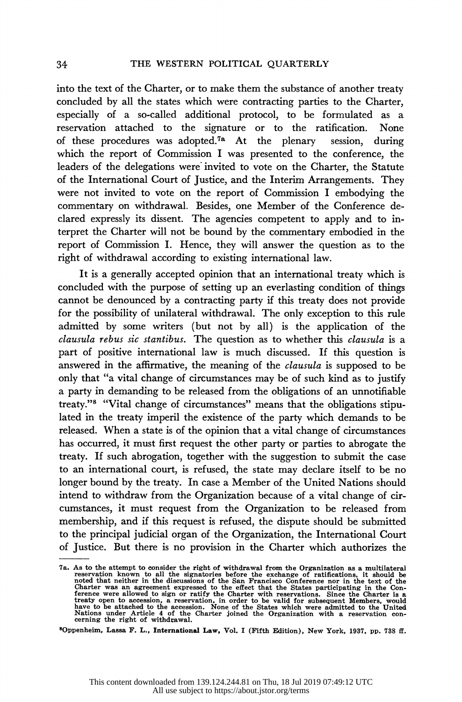into the text of the Charter, or to make them the substance of another treaty concluded by all the states which were contracting parties to the Charter, especially of a so-called additional protocol, to be formulated as a reservation attached to the signature or to the ratification. of these procedures was adopted.<sup>7a</sup> At the plenary session, during which the report of Commission I was presented to the conference, the leaders of the delegations were invited to vote on the Charter, the Statute of the International Court of Justice, and the Interim Arrangements. They were not invited to vote on the report of Commission I embodying the commentary on withdrawal. Besides, one Member of the Conference de clared expressly its dissent. The agencies competent to apply and to in terpret the Charter will not be bound by the commentary embodied in the report of Commission I. Hence, they will answer the question as to the right of withdrawal according to existing international law.

 It is a generally accepted opinion that an international treaty which is concluded with the purpose of setting up an everlasting condition of things cannot be denounced by a contracting party if this treaty does not provide for the possibility of unilateral withdrawal. The only exception to this rule admitted by some writers (but not by all) is the application of the clausula rebus sic stantibus. The question as to whether this clausula is a part of positive international law is much discussed. If this question is answered in the affirmative, the meaning of the clausula is supposed to be only that "a vital change of circumstances may be of such kind as to justify a party in demanding to be released from the obligations of an unnotifiable treaty."8 "Vital change of circumstances" means that the obligations stipu lated in the treaty imperil the existence of the party which demands to be released. When a state is of the opinion that a vital change of circumstances has occurred, it must first request the other party or parties to abrogate the treaty. If such abrogation, together with the suggestion to submit the case to an international court, is refused, the state may declare itself to be no longer bound by the treaty. In case a Member of the United Nations should intend to withdraw from the Organization because of a vital change of cir cumstances, it must request from the Organization to be released from membership, and if this request is refused, the dispute should be submitted to the principal judicial organ of the Organization, the International Court of Justice. But there is no provision in the Charter which authorizes the

Ta. As to the attempt to consider the right of withdrawal from the Organization as a multilateral reservation known to all the signatories before the exchange of ratifications, it should be Charter was an agreement expres

sOppenheim, Lassa F. L., International Law, Vol. I (Fifth Edition), New York, 1937, pp. 738 ff.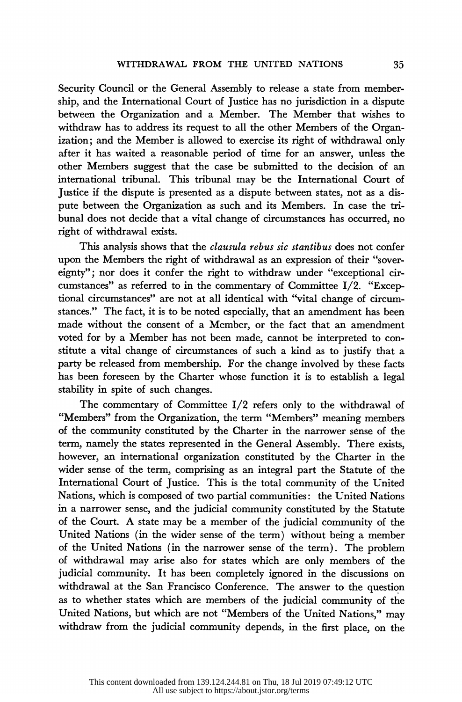Security Council or the General Assembly to release a state from member ship, and the International Court of Justice has no jurisdiction in a dispute between the Organization and a Member. The Member that wishes to withdraw has to address its request to all the other Members of the Organ ization; and the Member is allowed to exercise its right of withdrawal only after it has waited a reasonable period of time for an answer, unless the other Members suggest that the case be submitted to the decision of an international tribunal. This tribunal may be the International Court of Justice if the dispute is presented as a dispute between states, not as a dis pute between the Organization as such and its Members. In case the tri bunal does not decide that a vital change of circumstances has occurred, no right of withdrawal exists.

This analysis shows that the *clausula rebus sic stantibus* does not confer upon the Members the right of withdrawal as an expression of their "sover eignty"; nor does it confer the right to withdraw under "exceptional cir cumstances" as referred to in the commentary of Committee  $I/2$ . "Excep tional circumstances" are not at all identical with "vital change of circum stances." The fact, it is to be noted especially, that an amendment has been made without the consent of a Member, or the fact that an amendment voted for by a Member has not been made, cannot be interpreted to con stitute a vital change of circumstances of such a kind as to justify that a party be released from membership. For the change involved by these facts has been foreseen by the Charter whose function it is to establish a legal stability in spite of such changes.

 The commentary of Committee 1/2 refers only to the withdrawal of "Members" from the Organization, the term "Members" meaning members of the community constituted by the Charter in the narrower sense of the term, namely the states represented in the General Assembly. There exists, however, an international organization constituted by the Charter in the wider sense of the term, comprising as an integral part the Statute of the International Court of Justice. This is the total community of the United Nations, which is composed of two partial communities: the United Nations in a narrower sense, and the judicial community constituted by the Statute of the Court. A state may be a member of the judicial community of the United Nations (in the wider sense of the term) without being a member of the United Nations (in the narrower sense of the term). The problem of withdrawal may arise also for states which are only members of the judicial community. It has been completely ignored in the discussions on withdrawal at the San Francisco Conference. The answer to the question as to whether states which are members of the judicial community of the United Nations, but which are not "Members of the United Nations," may withdraw from the judicial community depends, in the first place, on the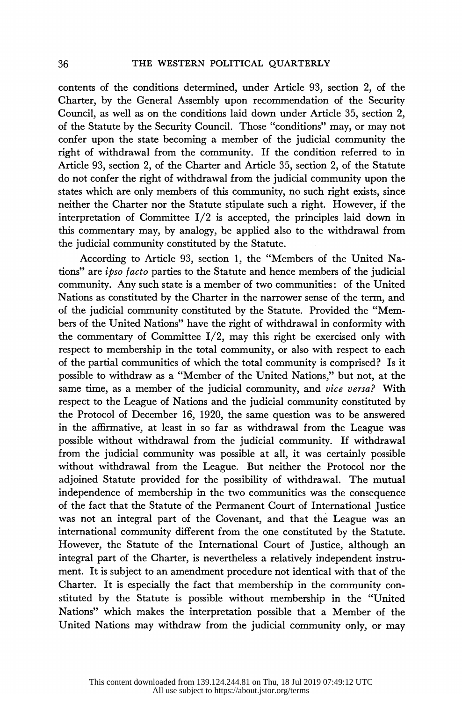contents of the conditions determined, under Article 93, section 2, of the Charter, by the General Assembly upon recommendation of the Security Council, as well as on the conditions laid down under Article 35, section 2, of the Statute by the Security Council. Those "conditions" may, or may not confer upon the state becoming a member of the judicial community the right of withdrawal from the community. If the condition referred to in Article 93, section 2, of the Charter and Article 35, section 2, of the Statute do not confer the right of withdrawal from the judicial community upon the states which are only members of this community, no such right exists, since neither the Charter nor the Statute stipulate such a right. However, if the interpretation of Committee I/2 is accepted, the principles laid down in this commentary may, by analogy, be applied also to the withdrawal from the judicial community constituted by the Statute.

 According to Article 93, section 1, the "Members of the United Na tions" are ipso facto parties to the Statute and hence members of the judicial community. Any such state is a member of two communities: of the United Nations as constituted by the Charter in the narrower sense of the term, and of the judicial community constituted by the Statute. Provided the "Mem bers of the United Nations" have the right of withdrawal in conformity with the commentary of Committee  $I/2$ , may this right be exercised only with respect to membership in the total community, or also with respect to each of the partial communities of which the total community is comprised? Is it possible to withdraw as a "Member of the United Nations," but not, at the same time, as a member of the judicial community, and vice versa? With respect to the League of Nations and the judicial community constituted by the Protocol of December 16, 1920, the same question was to be answered in the affirmative, at least in so far as withdrawal from the League was possible without withdrawal from the judicial community. If withdrawal from the judicial community was possible at all, it was certainly possible without withdrawal from the League. But neither the Protocol nor the adjoined Statute provided for the possibility of withdrawal. The mutual independence of membership in the two communities was the consequence of the fact that the Statute of the Permanent Court of International Justice was not an integral part of the Covenant, and that the League was an international community different from the one constituted by the Statute. However, the Statute of the International Court of Justice, although an integral part of the Charter, is nevertheless a relatively independent instru ment. It is subject to an amendment procedure not identical with that of the Charter. It is especially the fact that membership in the community con stituted by the Statute is possible without membership in the "United Nations" which makes the interpretation possible that a Member of the United Nations may withdraw from the judicial community only, or may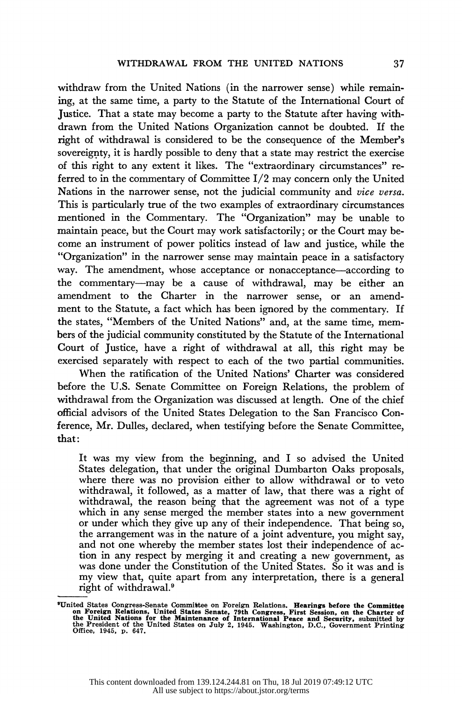withdraw from the United Nations (in the narrower sense) while remain ing, at the same time, a party to the Statute of the International Court of Justice. That a state may become a party to the Statute after having with drawn from the United Nations Organization cannot be doubted. If the right of withdrawal is considered to be the consequence of the Member's sovereignty, it is hardly possible to deny that a state may restrict the exercise of this right to any extent it likes. The "extraordinary circumstances" re ferred to in the commentary of Committee 1/2 may concern only the United Nations in the narrower sense, not the judicial community and vice versa. This is particularly true of the two examples of extraordinary circumstances mentioned in the Commentary. The "Organization" may be unable to maintain peace, but the Court may work satisfactorily; or the Court may be come an instrument of power politics instead of law and justice, while the "Organization" in the narrower sense may maintain peace in a satisfactory way. The amendment, whose acceptance or nonacceptance-according to the commentary-may be a cause of withdrawal, may be either an amendment to the Charter in the narrower sense, or an amend ment to the Statute, a fact which has been ignored by the commentary. If the states, "Members of the United Nations" and, at the same time, mem bers of the judicial community constituted by the Statute of the International Court of Justice, have a right of withdrawal at all, this right may be exercised separately with respect to each of the two partial communities.

 When the ratification of the United Nations' Charter was considered before the U.S. Senate Committee on Foreign Relations, the problem of withdrawal from the Organization was discussed at length. One of the chief official advisors of the United States Delegation to the San Francisco Con ference, Mr. Dulles, declared, when testifying before the Senate Committee, that:

 It was my view from the beginning, and I so advised the United States delegation, that under the original Dumbarton Oaks proposals, where there was no provision either to allow withdrawal or to veto withdrawal, it followed, as a matter of law, that there was a right of withdrawal, the reason being that the agreement was not of a type which in any sense merged the member states into a new government or under which they give up any of their independence. That being so, the arrangement was in the nature of a joint adventure, you might say, and not one whereby the member states lost their independence of ac tion in any respect by merging it and creating a new government, as was done under the Constitution of the United States. So it was and is my view that, quite apart from any interpretation, there is a general right of withdrawal.9

<sup>&</sup>quot;United States Congress-Senate Committee on Foreign Relations. Hearings before the Committee on Foreign Relations, United States Senate, 79th Congress. First Session, on the Charter of the United Nations for the Maintenanc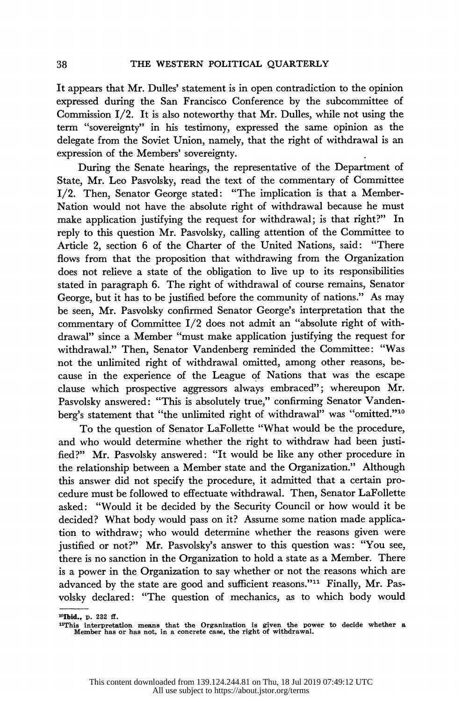It appears that Mr. Dulles' statement is in open contradiction to the opinion expressed during the San Francisco Conference by the subcommittee of Commission 1/2. It is also noteworthy that Mr. Dulles, while not using the term "sovereignty" in his testimony, expressed the same opinion as the delegate from the Soviet Union, namely, that the right of withdrawal is an expression of the Members' sovereignty.

 During the Senate hearings, the representative of the Department of State, Mr. Leo Pasvolsky, read the text of the commentary of Committee 1/2. Then, Senator George stated: "The implication is that a Member- Nation would not have the absolute right of withdrawal because he must make application justifying the request for withdrawal; is that right?" In reply to this question Mr. Pasvolsky, calling attention of the Committee to Article 2, section 6 of the Charter of the United Nations, said: "There flows from that the proposition that withdrawing from the Organization does not relieve a state of the obligation to live up to its responsibilities stated in paragraph 6. The right of withdrawal of course remains, Senator George, but it has to be justified before the community of nations." As may be seen, Mr. Pasvolsky confirmed Senator George's interpretation that the commentary of Committee I/2 does not admit an "absolute right of with drawal" since a Member "must make application justifying the request for withdrawal." Then, Senator Vandenberg reminded the Committee: "Was not the unlimited right of withdrawal omitted, among other reasons, be cause in the experience of the League of Nations that was the escape clause which prospective aggressors always embraced"; whereupon Mr. Pasvolsky answered: "This is absolutely true," confirming Senator Vanden berg's statement that "the unlimited right of withdrawal" was "omitted."10

 To the question of Senator LaFollette "What would be the procedure, and who would determine whether the right to withdraw had been justi fied?" Mr. Pasvolsky answered: "It would be like any other procedure in the relationship between a Member state and the Organization." Although this answer did not specify the procedure, it admitted that a certain pro cedure must be followed to effectuate withdrawal. Then, Senator LaFollette asked: "Would it be decided by the Security Council or how would it be decided? What body would pass on it? Assume some nation made applica tion to withdraw; who would determine whether the reasons given were justified or not?" Mr. Pasvolsky's answer to this question was: "You see, there is no sanction in the Organization to hold a state as a Member. There is a power in the Organization to say whether or not the reasons which are advanced by the state are good and sufficient reasons."<sup>11</sup> Finally, Mr. Pasvolsky declared: "The question of mechanics, as to which body would

 <sup>?</sup>Ibid., p. 232 ff.

 <sup>&</sup>quot;This interpretation means that the Organization is given the power to decide whether a Member has or has not, in a concrete case, the right of withdrawal.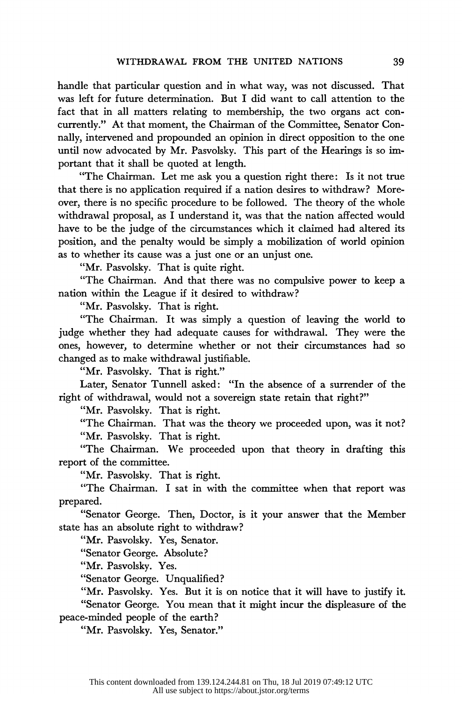handle that particular question and in what way, was not discussed. That was left for future determination. But I did want to call attention to the fact that in all matters relating to membership, the two organs act con currently." At that moment, the Chairman of the Committee, Senator Con nally, intervened and propounded an opinion in direct opposition to the one until now advocated by Mr. Pasvolsky. This part of the Hearings is so im portant that it shall be quoted at length.

 "The Chairman. Let me ask you a question right there: Is it not true that there is no application required if a nation desires to withdraw? More over, there is no specific procedure to be followed. The theory of the whole withdrawal proposal, as I understand it, was that the nation affected would have to be the judge of the circumstances which it claimed had altered its position, and the penalty would be simply a mobilization of world opinion as to whether its cause was a just one or an unjust one.

"Mr. Pasvolsky. That is quite right.

 "The Chairman. And that there was no compulsive power to keep a nation within the League if it desired to withdraw?

"Mr. Pasvolsky. That is right.

 "The Chairman. It was simply a question of leaving the world to judge whether they had adequate causes for withdrawal. They were the ones, however, to determine whether or not their circumstances had so changed as to make withdrawal justifiable.

"Mr. Pasvolsky. That is right."

 Later, Senator Tunnell asked: "In the absence of a surrender of the right of withdrawal, would not a sovereign state retain that right?"

"Mr. Pasvolsky. That is right.

 "The Chairman. That was the theory we proceeded upon, was it not? "Mr. Pasvolsky. That is right.

 "The Chairman. We proceeded upon that theory in drafting this report of the committee.

"Mr. Pasvolsky. That is right.

 "The Chairman. I sat in with the committee when that report was prepared.

 "Senator George. Then, Doctor, is it your answer that the Member state has an absolute right to withdraw?

"Mr. Pasvolsky. Yes, Senator.

"Senator George. Absolute?

"Mr. Pasvolsky. Yes.

"Senator George. Unqualified?

"Mr. Pasvolsky. Yes. But it is on notice that it will have to justify it.

 "Senator George. You mean that it might incur the displeasure of the peace-minded people of the earth?

"Mr. Pasvolsky. Yes, Senator."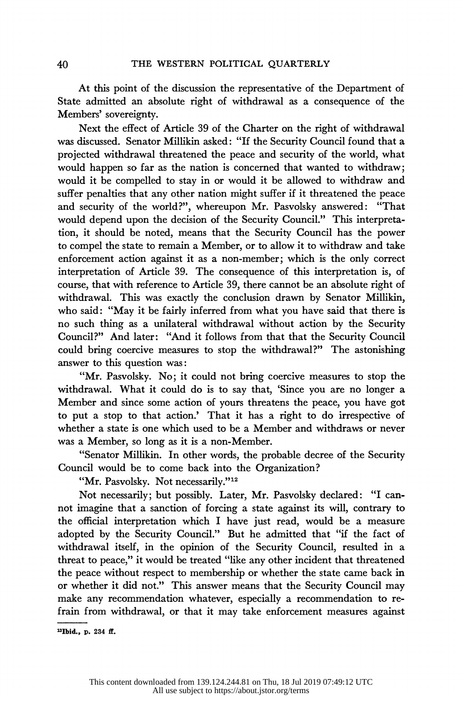At this point of the discussion the representative of the Department of State admitted an absolute right of withdrawal as a consequence of the Members' sovereignty.

 Next the effect of Article 39 of the Charter on the right of withdrawal was discussed. Senator Millikin asked: "If the Security Council found that a projected withdrawal threatened the peace and security of the world, what would happen so far as the nation is concerned that wanted to withdraw; would it be compelled to stay in or would it be allowed to withdraw and suffer penalties that any other nation might suffer if it threatened the peace and security of the world?", whereupon Mr. Pasvolsky answered: "That would depend upon the decision of the Security Council." This interpreta tion, it should be noted, means that the Security Council has the power to compel the state to remain a Member, or to allow it to withdraw and take enforcement action against it as a non-member; which is the only correct interpretation of Article 39. The consequence of this interpretation is, of course, that with reference to Article 39, there cannot be an absolute right of withdrawal. This was exactly the conclusion drawn by Senator Millikin, who said: "May it be fairly inferred from what you have said that there is no such thing as a unilateral withdrawal without action by the Security Council?" And later: "And it follows from that that the Security Council could bring coercive measures to stop the withdrawal?" The astonishing answer to this question was:

 "Mr. Pasvolsky. No; it could not bring coercive measures to stop the withdrawal. What it could do is to say that, 'Since you are no longer a Member and since some action of yours threatens the peace, you have got to put a stop to that action.' That it has a right to do irrespective of whether a state is one which used to be a Member and withdraws or never was a Member, so long as it is a non-Member.

 "Senator Millikin. In other words, the probable decree of the Security Council would be to come back into the Organization?

"Mr. Pasvolsky. Not necessarily."<sup>12</sup>

 Not necessarily; but possibly. Later, Mr. Pasvolsky declared: "I can not imagine that a sanction of forcing a state against its will, contrary to the official interpretation which I have just read, would be a measure adopted by the Security Council." But he admitted that "if the fact of withdrawal itself, in the opinion of the Security Council, resulted in a threat to peace," it would be treated "like any other incident that threatened the peace without respect to membership or whether the state came back in or whether it did not." This answer means that the Security Council may make any recommendation whatever, especially a recommendation to re frain from withdrawal, or that it may take enforcement measures against

 <sup>1&</sup>quot;Ibid., p. 234 ff.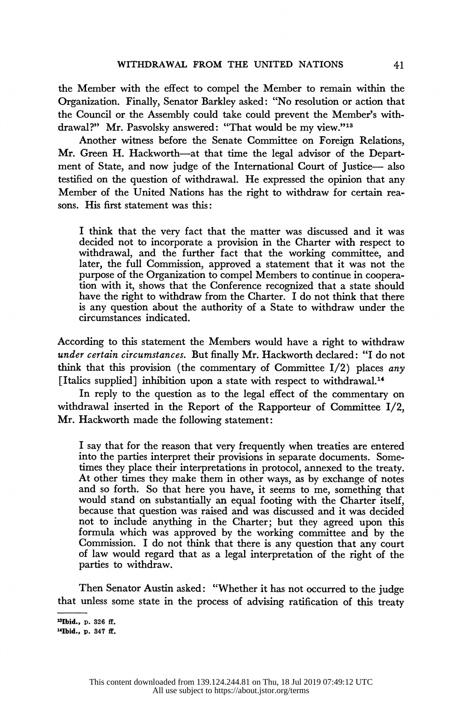the Member with the effect to compel the Member to remain within the Organization. Finally, Senator Barkley asked: "No resolution or action that the Council or the Assembly could take could prevent the Member's with drawal?" Mr. Pasvolsky answered: "That would be my view."13

 Another witness before the Senate Committee on Foreign Relations, Mr. Green H. Hackworth-at that time the legal advisor of the Depart ment of State, and now judge of the International Court of Justice- also testified on the question of withdrawal. He expressed the opinion that any Member of the United Nations has the right to withdraw for certain rea sons. His first statement was this:

 I think that the very fact that the matter was discussed and it was decided not to incorporate a provision in the Charter with respect to withdrawal, and the further fact that the working committee, and later, the full Commission, approved a statement that it was not the purpose of the Organization to compel Members to continue in coopera tion with it, shows that the Conference recognized that a state should have the right to withdraw from the Charter. I do not think that there is any question about the authority of a State to withdraw under the circumstances indicated.

 According to this statement the Members would have a right to withdraw under certain circumstances. But finally Mr. Hackworth declared: "I do not think that this provision (the commentary of Committee  $I/2$ ) places any [Italics supplied] inhibition upon a state with respect to withdrawal.<sup>14</sup>

 In reply to the question as to the legal effect of the commentary on withdrawal inserted in the Report of the Rapporteur of Committee 1/2, Mr. Hackworth made the following statement:

 I say that for the reason that very frequently when treaties are entered into the parties interpret their provisions in separate documents. Some times they place their interpretations in protocol, annexed to the treaty. At other times they make them in other ways, as by exchange of notes and so forth. So that here you have, it seems to me, something that would stand on substantially an equal footing with the Charter itself, because that question was raised and was discussed and it was decided not to include anything in the Charter; but they agreed upon this formula which was approved by the working committee and by the Commission. I do not think that there is any question that any court of law would regard that as a legal interpretation of the right of the parties to withdraw.

 Then Senator Austin asked: "Whether it has not occurred to the judge that unless some state in the process of advising ratification of this treaty

 13Ibid., p. 326 ff. <sup>14</sup>Ibid., p. 347 ff.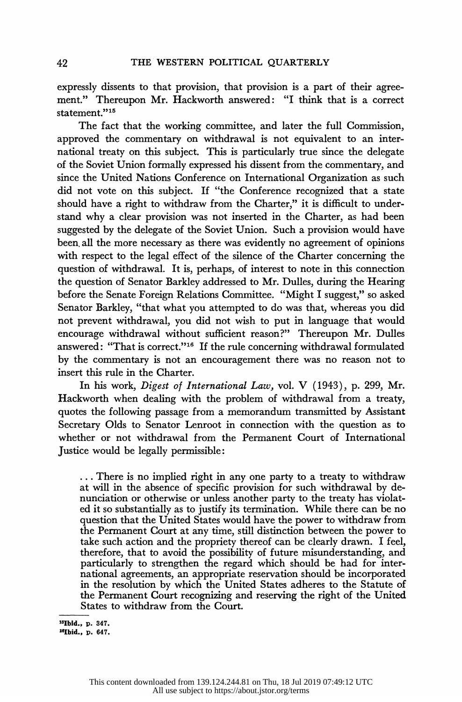expressly dissents to that provision, that provision is a part of their agree ment." Thereupon Mr. Hackworth answered: "I think that is a correct statement."<sup>15</sup>

 The fact that the working committee, and later the full Commission, approved the commentary on withdrawal is not equivalent to an inter national treaty on this subject. This is particularly true since the delegate of the Soviet Union formally expressed his dissent from the commentary, and since the United Nations Conference on International Organization as such did not vote on this subject. If "the Conference recognized that a state should have a right to withdraw from the Charter," it is difficult to under stand why a clear provision was not inserted in the Charter, as had been suggested by the delegate of the Soviet Union. Such a provision would have been. all the more necessary as there was evidently no agreement of opinions with respect to the legal effect of the silence of the Charter concerning the question of withdrawal. It is, perhaps, of interest to note in this connection the question of Senator Barkley addressed to Mr. Dulles, during the Hearing before the Senate Foreign Relations Committee. "Might I suggest," so asked Senator Barkley, "that what you attempted to do was that, whereas you did not prevent withdrawal, you did not wish to put in language that would encourage withdrawal without sufficient reason?" Thereupon Mr. Dulles answered: "That is correct."'6 If the rule concerning withdrawal formulated by the commentary is not an encouragement there was no reason not to insert this rule in the Charter.

 In his work, Digest of International Law, vol. V (1943), p. 299, Mr. Hackworth when dealing with the problem of withdrawal from a treaty, quotes the following passage from a memorandum transmitted by Assistant Secretary Olds to Senator Lenroot in connection with the question as to whether or not withdrawal from the Permanent Court of International Justice would be legally permissible:

 ... There is no implied right in any one party to a treaty to withdraw at will in the absence of specific provision for such withdrawal by de nunciation or otherwise or unless another party to the treaty has violat ed it so substantially as to justify its termination. While there can be no question that the United States would have the power to withdraw from the Permanent Court at any time, still distinction between the power to take such action and the propriety thereof can be clearly drawn. I feel, therefore, that to avoid the possibility of future misunderstanding, and particularly to strengthen the regard which should be had for inter national agreements, an appropriate reservation should be incorporated in the resolution by which the United States adheres to the Statute of the Permanent Court recognizing and reserving the right of the United States to withdraw from the Court.

 lIbid., p. 347. 6Ibid., p. 647.